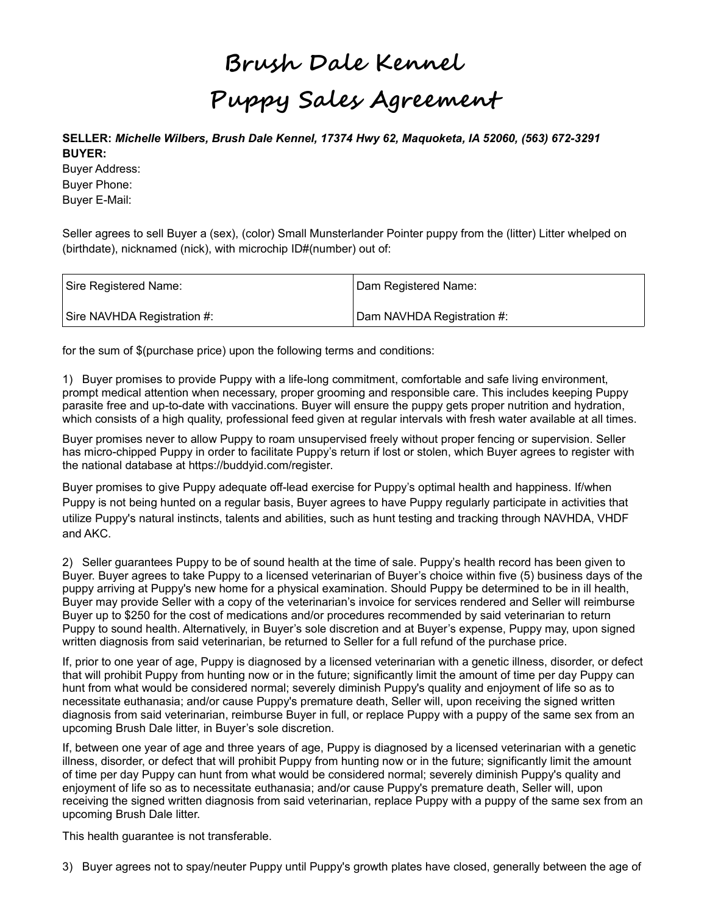# **Brush Dale Kennel Puppy Sales Agreement**

**SELLER:** *Michelle Wilbers, Brush Dale Kennel, 17374 Hwy 62, Maquoketa, IA 52060, (563) 672-3291* **BUYER:** 

Buyer Address: Buyer Phone: Buyer E-Mail:

Seller agrees to sell Buyer a (sex), (color) Small Munsterlander Pointer puppy from the (litter) Litter whelped on (birthdate), nicknamed (nick), with microchip ID#(number) out of:

| Sire Registered Name:       | Dam Registered Name:       |
|-----------------------------|----------------------------|
| Sire NAVHDA Registration #: | Dam NAVHDA Registration #: |

for the sum of \$(purchase price) upon the following terms and conditions:

1) Buyer promises to provide Puppy with a life-long commitment, comfortable and safe living environment, prompt medical attention when necessary, proper grooming and responsible care. This includes keeping Puppy parasite free and up-to-date with vaccinations. Buyer will ensure the puppy gets proper nutrition and hydration, which consists of a high quality, professional feed given at regular intervals with fresh water available at all times.

Buyer promises never to allow Puppy to roam unsupervised freely without proper fencing or supervision. Seller has micro-chipped Puppy in order to facilitate Puppy's return if lost or stolen, which Buyer agrees to register with the national database at https://buddyid.com/register.

Buyer promises to give Puppy adequate off-lead exercise for Puppy's optimal health and happiness. If/when Puppy is not being hunted on a regular basis, Buyer agrees to have Puppy regularly participate in activities that utilize Puppy's natural instincts, talents and abilities, such as hunt testing and tracking through NAVHDA, VHDF and AKC.

2) Seller guarantees Puppy to be of sound health at the time of sale. Puppy's health record has been given to Buyer. Buyer agrees to take Puppy to a licensed veterinarian of Buyer's choice within five (5) business days of the puppy arriving at Puppy's new home for a physical examination. Should Puppy be determined to be in ill health, Buyer may provide Seller with a copy of the veterinarian's invoice for services rendered and Seller will reimburse Buyer up to \$250 for the cost of medications and/or procedures recommended by said veterinarian to return Puppy to sound health. Alternatively, in Buyer's sole discretion and at Buyer's expense, Puppy may, upon signed written diagnosis from said veterinarian, be returned to Seller for a full refund of the purchase price.

If, prior to one year of age, Puppy is diagnosed by a licensed veterinarian with a genetic illness, disorder, or defect that will prohibit Puppy from hunting now or in the future; significantly limit the amount of time per day Puppy can hunt from what would be considered normal; severely diminish Puppy's quality and enjoyment of life so as to necessitate euthanasia; and/or cause Puppy's premature death, Seller will, upon receiving the signed written diagnosis from said veterinarian, reimburse Buyer in full, or replace Puppy with a puppy of the same sex from an upcoming Brush Dale litter, in Buyer's sole discretion.

If, between one year of age and three years of age, Puppy is diagnosed by a licensed veterinarian with a genetic illness, disorder, or defect that will prohibit Puppy from hunting now or in the future; significantly limit the amount of time per day Puppy can hunt from what would be considered normal; severely diminish Puppy's quality and enjoyment of life so as to necessitate euthanasia; and/or cause Puppy's premature death, Seller will, upon receiving the signed written diagnosis from said veterinarian, replace Puppy with a puppy of the same sex from an upcoming Brush Dale litter.

This health guarantee is not transferable.

3) Buyer agrees not to spay/neuter Puppy until Puppy's growth plates have closed, generally between the age of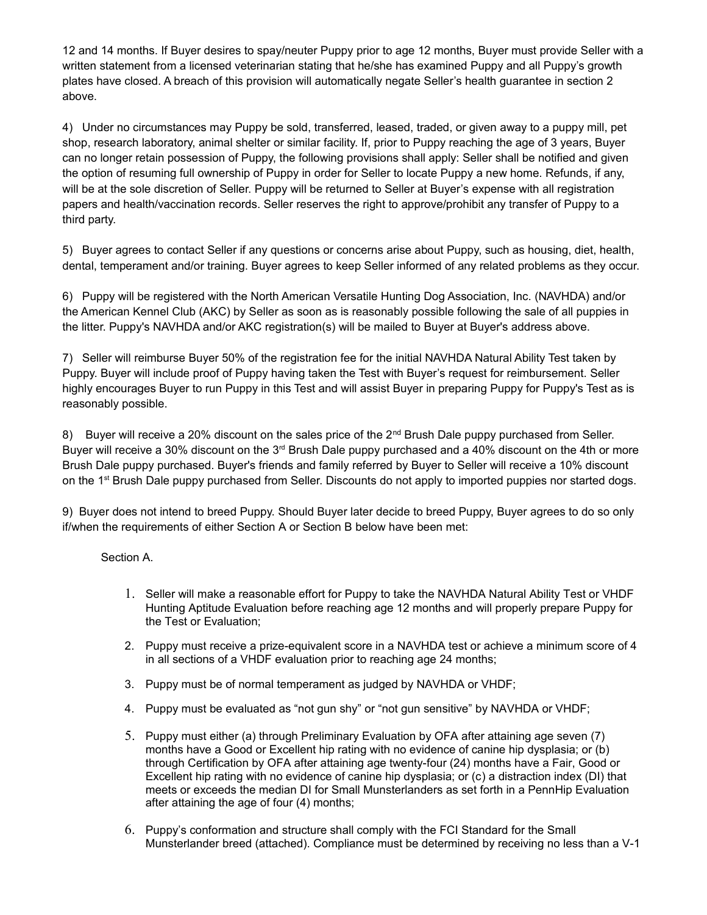12 and 14 months. If Buyer desires to spay/neuter Puppy prior to age 12 months, Buyer must provide Seller with a written statement from a licensed veterinarian stating that he/she has examined Puppy and all Puppy's growth plates have closed. A breach of this provision will automatically negate Seller's health guarantee in section 2 above.

4) Under no circumstances may Puppy be sold, transferred, leased, traded, or given away to a puppy mill, pet shop, research laboratory, animal shelter or similar facility. If, prior to Puppy reaching the age of 3 years, Buyer can no longer retain possession of Puppy, the following provisions shall apply: Seller shall be notified and given the option of resuming full ownership of Puppy in order for Seller to locate Puppy a new home. Refunds, if any, will be at the sole discretion of Seller. Puppy will be returned to Seller at Buyer's expense with all registration papers and health/vaccination records. Seller reserves the right to approve/prohibit any transfer of Puppy to a third party.

5) Buyer agrees to contact Seller if any questions or concerns arise about Puppy, such as housing, diet, health, dental, temperament and/or training. Buyer agrees to keep Seller informed of any related problems as they occur.

6) Puppy will be registered with the North American Versatile Hunting Dog Association, Inc. (NAVHDA) and/or the American Kennel Club (AKC) by Seller as soon as is reasonably possible following the sale of all puppies in the litter. Puppy's NAVHDA and/or AKC registration(s) will be mailed to Buyer at Buyer's address above.

7) Seller will reimburse Buyer 50% of the registration fee for the initial NAVHDA Natural Ability Test taken by Puppy. Buyer will include proof of Puppy having taken the Test with Buyer's request for reimbursement. Seller highly encourages Buyer to run Puppy in this Test and will assist Buyer in preparing Puppy for Puppy's Test as is reasonably possible.

8) Buyer will receive a 20% discount on the sales price of the  $2<sup>nd</sup>$  Brush Dale puppy purchased from Seller. Buyer will receive a 30% discount on the 3<sup>rd</sup> Brush Dale puppy purchased and a 40% discount on the 4th or more Brush Dale puppy purchased. Buyer's friends and family referred by Buyer to Seller will receive a 10% discount on the 1<sup>st</sup> Brush Dale puppy purchased from Seller. Discounts do not apply to imported puppies nor started dogs.

9) Buyer does not intend to breed Puppy. Should Buyer later decide to breed Puppy, Buyer agrees to do so only if/when the requirements of either Section A or Section B below have been met:

Section A.

- 1. Seller will make a reasonable effort for Puppy to take the NAVHDA Natural Ability Test or VHDF Hunting Aptitude Evaluation before reaching age 12 months and will properly prepare Puppy for the Test or Evaluation;
- 2. Puppy must receive a prize-equivalent score in a NAVHDA test or achieve a minimum score of 4 in all sections of a VHDF evaluation prior to reaching age 24 months;
- 3. Puppy must be of normal temperament as judged by NAVHDA or VHDF;
- 4. Puppy must be evaluated as "not gun shy" or "not gun sensitive" by NAVHDA or VHDF;
- 5. Puppy must either (a) through Preliminary Evaluation by OFA after attaining age seven (7) months have a Good or Excellent hip rating with no evidence of canine hip dysplasia; or (b) through Certification by OFA after attaining age twenty-four (24) months have a Fair, Good or Excellent hip rating with no evidence of canine hip dysplasia; or (c) a distraction index (DI) that meets or exceeds the median DI for Small Munsterlanders as set forth in a PennHip Evaluation after attaining the age of four (4) months;
- 6. Puppy's conformation and structure shall comply with the FCI Standard for the Small Munsterlander breed (attached). Compliance must be determined by receiving no less than a V-1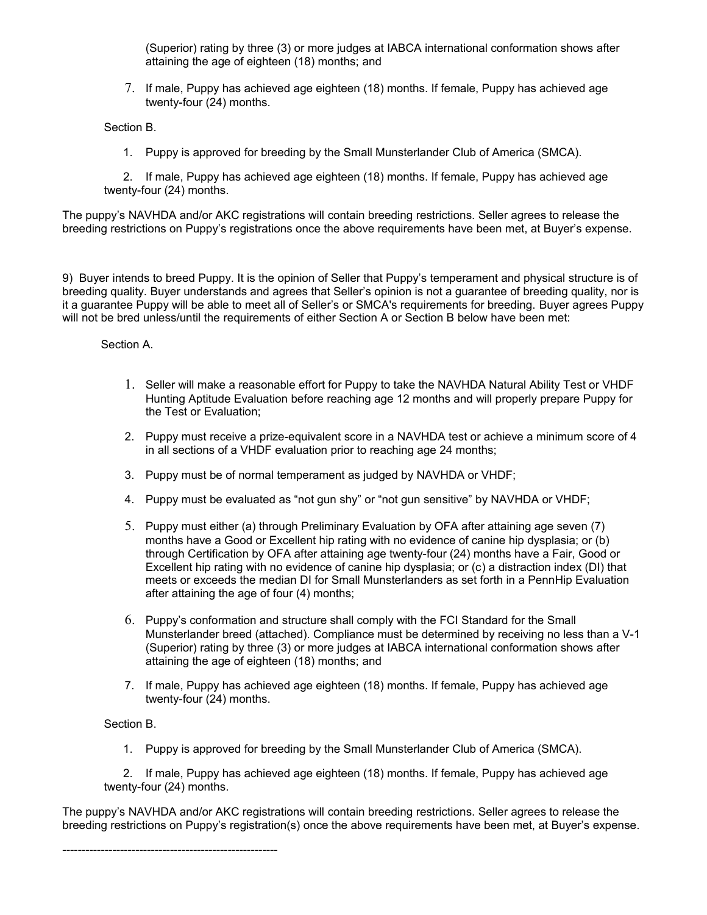(Superior) rating by three (3) or more judges at IABCA international conformation shows after attaining the age of eighteen (18) months; and

7. If male, Puppy has achieved age eighteen (18) months. If female, Puppy has achieved age twenty-four (24) months.

Section B.

1. Puppy is approved for breeding by the Small Munsterlander Club of America (SMCA).

 2. If male, Puppy has achieved age eighteen (18) months. If female, Puppy has achieved age twenty-four (24) months.

The puppy's NAVHDA and/or AKC registrations will contain breeding restrictions. Seller agrees to release the breeding restrictions on Puppy's registrations once the above requirements have been met, at Buyer's expense.

9) Buyer intends to breed Puppy. It is the opinion of Seller that Puppy's temperament and physical structure is of breeding quality. Buyer understands and agrees that Seller's opinion is not a guarantee of breeding quality, nor is it a guarantee Puppy will be able to meet all of Seller's or SMCA's requirements for breeding. Buyer agrees Puppy will not be bred unless/until the requirements of either Section A or Section B below have been met:

Section A.

- 1. Seller will make a reasonable effort for Puppy to take the NAVHDA Natural Ability Test or VHDF Hunting Aptitude Evaluation before reaching age 12 months and will properly prepare Puppy for the Test or Evaluation;
- 2. Puppy must receive a prize-equivalent score in a NAVHDA test or achieve a minimum score of 4 in all sections of a VHDF evaluation prior to reaching age 24 months;
- 3. Puppy must be of normal temperament as judged by NAVHDA or VHDF;
- 4. Puppy must be evaluated as "not gun shy" or "not gun sensitive" by NAVHDA or VHDF;
- 5. Puppy must either (a) through Preliminary Evaluation by OFA after attaining age seven (7) months have a Good or Excellent hip rating with no evidence of canine hip dysplasia; or (b) through Certification by OFA after attaining age twenty-four (24) months have a Fair, Good or Excellent hip rating with no evidence of canine hip dysplasia; or (c) a distraction index (DI) that meets or exceeds the median DI for Small Munsterlanders as set forth in a PennHip Evaluation after attaining the age of four (4) months;
- 6. Puppy's conformation and structure shall comply with the FCI Standard for the Small Munsterlander breed (attached). Compliance must be determined by receiving no less than a V-1 (Superior) rating by three (3) or more judges at IABCA international conformation shows after attaining the age of eighteen (18) months; and
- 7. If male, Puppy has achieved age eighteen (18) months. If female, Puppy has achieved age twenty-four (24) months.

Section B.

--------------------------------------------------------

1. Puppy is approved for breeding by the Small Munsterlander Club of America (SMCA).

 2. If male, Puppy has achieved age eighteen (18) months. If female, Puppy has achieved age twenty-four (24) months.

The puppy's NAVHDA and/or AKC registrations will contain breeding restrictions. Seller agrees to release the breeding restrictions on Puppy's registration(s) once the above requirements have been met, at Buyer's expense.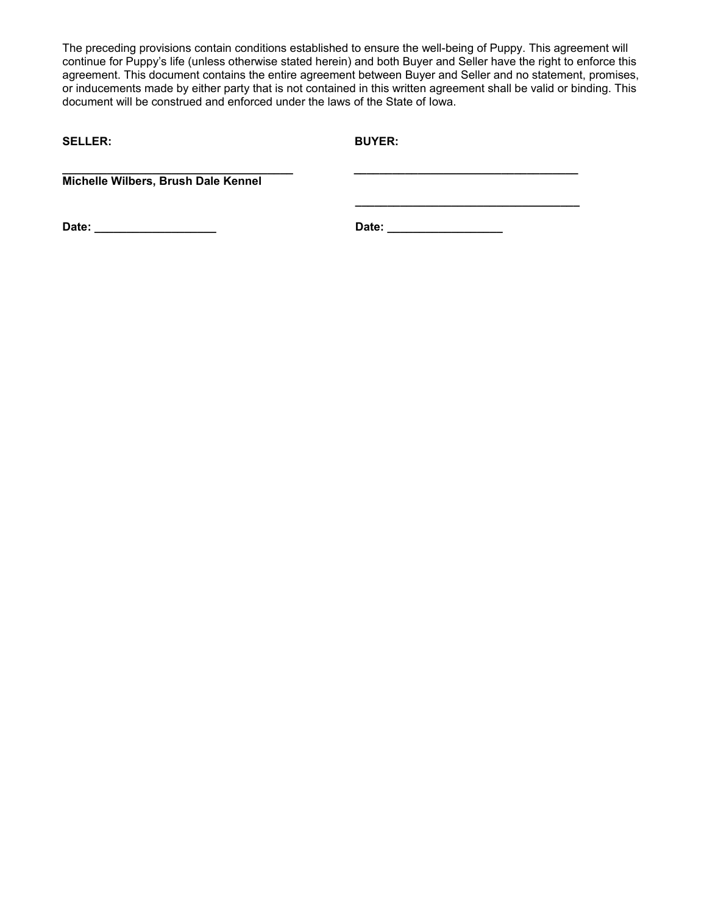The preceding provisions contain conditions established to ensure the well-being of Puppy. This agreement will continue for Puppy's life (unless otherwise stated herein) and both Buyer and Seller have the right to enforce this agreement. This document contains the entire agreement between Buyer and Seller and no statement, promises, or inducements made by either party that is not contained in this written agreement shall be valid or binding. This document will be construed and enforced under the laws of the State of Iowa.

**SELLER: BUYER:**

**\_\_\_\_\_\_\_\_\_\_\_\_\_\_\_\_\_\_\_\_\_\_\_\_\_\_\_\_\_\_\_\_\_\_\_\_ \_\_\_\_\_\_\_\_\_\_\_\_\_\_\_\_\_\_\_\_\_\_\_\_\_\_\_\_\_\_\_\_\_\_\_ Michelle Wilbers, Brush Dale Kennel**

**Date: \_\_\_\_\_\_\_\_\_\_\_\_\_\_\_\_\_\_\_ Date: \_\_\_\_\_\_\_\_\_\_\_\_\_\_\_\_\_\_**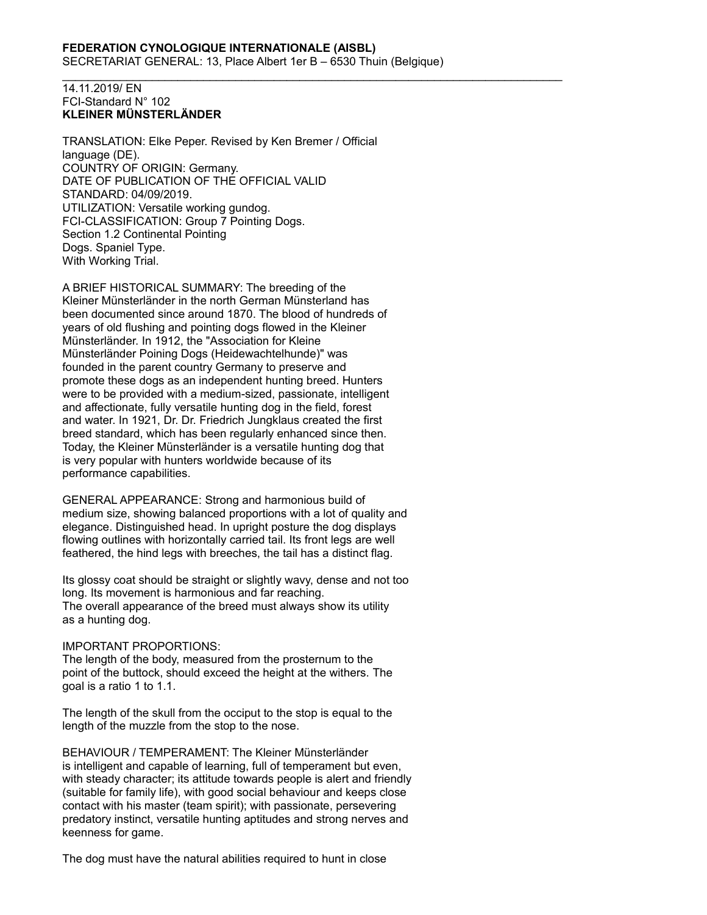\_\_\_\_\_\_\_\_\_\_\_\_\_\_\_\_\_\_\_\_\_\_\_\_\_\_\_\_\_\_\_\_\_\_\_\_\_\_\_\_\_\_\_\_\_\_\_\_\_\_\_\_\_\_\_\_\_\_\_\_\_\_\_\_\_\_\_\_\_\_\_\_\_\_\_\_\_\_

#### 14.11.2019/ EN FCI-Standard N° 102 **KLEINER MÜNSTERLÄNDER**

TRANSLATION: Elke Peper. Revised by Ken Bremer / Official language (DE). COUNTRY OF ORIGIN: Germany. DATE OF PUBLICATION OF THE OFFICIAL VALID STANDARD: 04/09/2019. UTILIZATION: Versatile working gundog. FCI-CLASSIFICATION: Group 7 Pointing Dogs. Section 1.2 Continental Pointing Dogs. Spaniel Type. With Working Trial.

A BRIEF HISTORICAL SUMMARY: The breeding of the Kleiner Münsterländer in the north German Münsterland has been documented since around 1870. The blood of hundreds of years of old flushing and pointing dogs flowed in the Kleiner Münsterländer. In 1912, the "Association for Kleine Münsterländer Poining Dogs (Heidewachtelhunde)" was founded in the parent country Germany to preserve and promote these dogs as an independent hunting breed. Hunters were to be provided with a medium-sized, passionate, intelligent and affectionate, fully versatile hunting dog in the field, forest and water. In 1921, Dr. Dr. Friedrich Jungklaus created the first breed standard, which has been regularly enhanced since then. Today, the Kleiner Münsterländer is a versatile hunting dog that is very popular with hunters worldwide because of its performance capabilities.

GENERAL APPEARANCE: Strong and harmonious build of medium size, showing balanced proportions with a lot of quality and elegance. Distinguished head. In upright posture the dog displays flowing outlines with horizontally carried tail. Its front legs are well feathered, the hind legs with breeches, the tail has a distinct flag.

Its glossy coat should be straight or slightly wavy, dense and not too long. Its movement is harmonious and far reaching. The overall appearance of the breed must always show its utility as a hunting dog.

## IMPORTANT PROPORTIONS:

The length of the body, measured from the prosternum to the point of the buttock, should exceed the height at the withers. The goal is a ratio 1 to 1.1.

The length of the skull from the occiput to the stop is equal to the length of the muzzle from the stop to the nose.

BEHAVIOUR / TEMPERAMENT: The Kleiner Münsterländer is intelligent and capable of learning, full of temperament but even, with steady character; its attitude towards people is alert and friendly (suitable for family life), with good social behaviour and keeps close contact with his master (team spirit); with passionate, persevering predatory instinct, versatile hunting aptitudes and strong nerves and keenness for game.

The dog must have the natural abilities required to hunt in close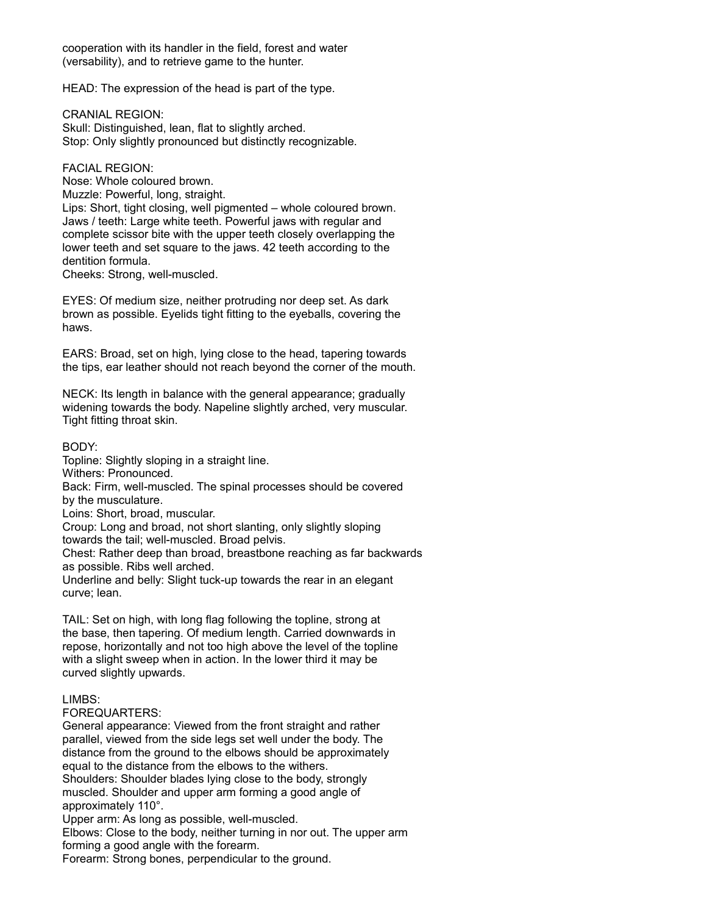cooperation with its handler in the field, forest and water (versability), and to retrieve game to the hunter.

HEAD: The expression of the head is part of the type.

CRANIAL REGION: Skull: Distinguished, lean, flat to slightly arched. Stop: Only slightly pronounced but distinctly recognizable.

FACIAL REGION:

Nose: Whole coloured brown. Muzzle: Powerful, long, straight. Lips: Short, tight closing, well pigmented – whole coloured brown. Jaws / teeth: Large white teeth. Powerful jaws with regular and complete scissor bite with the upper teeth closely overlapping the lower teeth and set square to the jaws. 42 teeth according to the dentition formula.

Cheeks: Strong, well-muscled.

EYES: Of medium size, neither protruding nor deep set. As dark brown as possible. Eyelids tight fitting to the eyeballs, covering the haws.

EARS: Broad, set on high, lying close to the head, tapering towards the tips, ear leather should not reach beyond the corner of the mouth.

NECK: Its length in balance with the general appearance; gradually widening towards the body. Napeline slightly arched, very muscular. Tight fitting throat skin.

BODY:

Topline: Slightly sloping in a straight line.

Withers: Pronounced.

Back: Firm, well-muscled. The spinal processes should be covered by the musculature.

Loins: Short, broad, muscular.

Croup: Long and broad, not short slanting, only slightly sloping

towards the tail; well-muscled. Broad pelvis.

Chest: Rather deep than broad, breastbone reaching as far backwards as possible. Ribs well arched.

Underline and belly: Slight tuck-up towards the rear in an elegant curve; lean.

TAIL: Set on high, with long flag following the topline, strong at the base, then tapering. Of medium length. Carried downwards in repose, horizontally and not too high above the level of the topline with a slight sweep when in action. In the lower third it may be curved slightly upwards.

# LIMBS:

FOREQUARTERS:

General appearance: Viewed from the front straight and rather parallel, viewed from the side legs set well under the body. The distance from the ground to the elbows should be approximately equal to the distance from the elbows to the withers. Shoulders: Shoulder blades lying close to the body, strongly muscled. Shoulder and upper arm forming a good angle of approximately 110°.

Upper arm: As long as possible, well-muscled.

Elbows: Close to the body, neither turning in nor out. The upper arm forming a good angle with the forearm.

Forearm: Strong bones, perpendicular to the ground.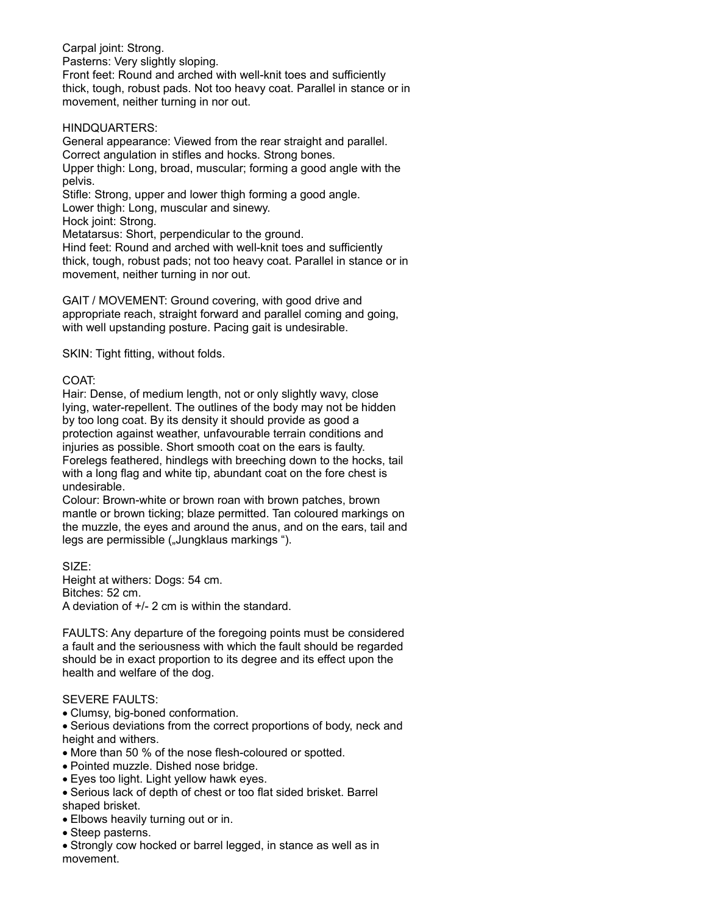Carpal joint: Strong. Pasterns: Very slightly sloping. Front feet: Round and arched with well-knit toes and sufficiently thick, tough, robust pads. Not too heavy coat. Parallel in stance or in movement, neither turning in nor out.

## HINDQUARTERS:

General appearance: Viewed from the rear straight and parallel. Correct angulation in stifles and hocks. Strong bones. Upper thigh: Long, broad, muscular; forming a good angle with the pelvis. Stifle: Strong, upper and lower thigh forming a good angle. Lower thigh: Long, muscular and sinewy. Hock joint: Strong. Metatarsus: Short, perpendicular to the ground. Hind feet: Round and arched with well-knit toes and sufficiently thick, tough, robust pads; not too heavy coat. Parallel in stance or in movement, neither turning in nor out.

GAIT / MOVEMENT: Ground covering, with good drive and appropriate reach, straight forward and parallel coming and going, with well upstanding posture. Pacing gait is undesirable.

SKIN: Tight fitting, without folds.

### COAT:

Hair: Dense, of medium length, not or only slightly wavy, close lying, water-repellent. The outlines of the body may not be hidden by too long coat. By its density it should provide as good a protection against weather, unfavourable terrain conditions and injuries as possible. Short smooth coat on the ears is faulty. Forelegs feathered, hindlegs with breeching down to the hocks, tail with a long flag and white tip, abundant coat on the fore chest is undesirable.

Colour: Brown-white or brown roan with brown patches, brown mantle or brown ticking; blaze permitted. Tan coloured markings on the muzzle, the eyes and around the anus, and on the ears, tail and legs are permissible ("Jungklaus markings").

SIZE:

Height at withers: Dogs: 54 cm. Bitches: 52 cm. A deviation of +/- 2 cm is within the standard.

FAULTS: Any departure of the foregoing points must be considered a fault and the seriousness with which the fault should be regarded should be in exact proportion to its degree and its effect upon the health and welfare of the dog.

#### SEVERE FAULTS:

- Clumsy, big-boned conformation.
- Serious deviations from the correct proportions of body, neck and height and withers.
- More than 50 % of the nose flesh-coloured or spotted.
- Pointed muzzle. Dished nose bridge.
- Eyes too light. Light yellow hawk eyes.
- Serious lack of depth of chest or too flat sided brisket. Barrel shaped brisket.
- Elbows heavily turning out or in.
- Steep pasterns.
- Strongly cow hocked or barrel legged, in stance as well as in movement.